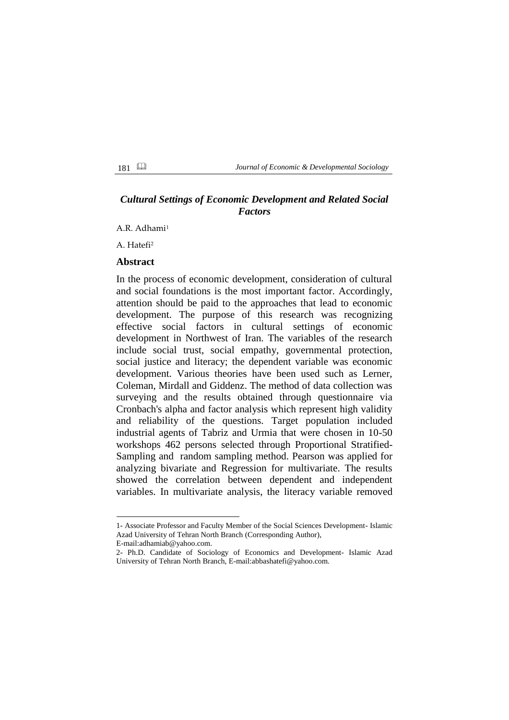# *Cultural Settings of Economic Development and Related Social Factors*

A.R. Adhami<sup>1</sup>

A. Hatefi<sup>2</sup>

# **Abstract**

In the process of economic development, consideration of cultural and social foundations is the most important factor. Accordingly, attention should be paid to the approaches that lead to economic development. The purpose of this research was recognizing effective social factors in cultural settings of economic development in Northwest of Iran. The variables of the research include social trust, social empathy, governmental protection, social justice and literacy; the dependent variable was economic development. Various theories have been used such as Lerner, Coleman, Mirdall and Giddenz. The method of data collection was surveying and the results obtained through questionnaire via Cronbach's alpha and factor analysis which represent high validity and reliability of the questions. Target population included industrial agents of Tabriz and Urmia that were chosen in 10-50 workshops 462 persons selected through Proportional Stratified-Sampling and random sampling method. Pearson was applied for analyzing bivariate and Regression for multivariate. The results showed the correlation between dependent and independent variables. In multivariate analysis, the literacy variable removed

1

<sup>1-</sup> Associate Professor and Faculty Member of the Social Sciences Development- Islamic Azad University of Tehran North Branch (Corresponding Author),

E-mail:adhamiab@yahoo.com.

<sup>2-</sup> Ph.D. Candidate of Sociology of Economics and Development- Islamic Azad University of Tehran North Branch, E-mail:abbashatefi@yahoo.com.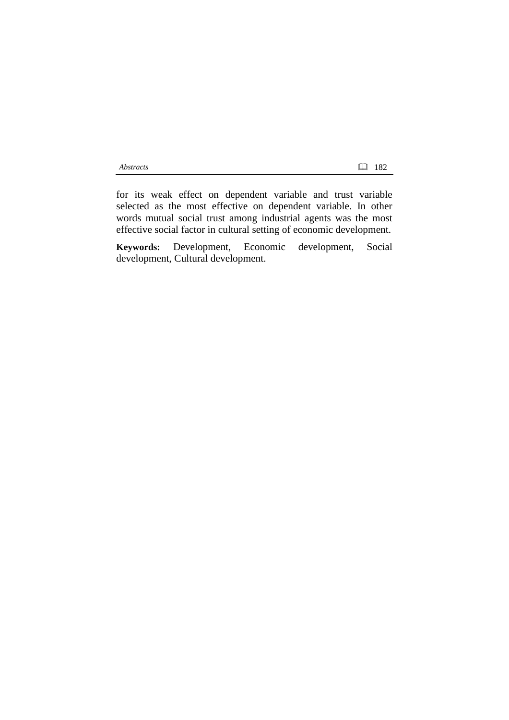for its weak effect on dependent variable and trust variable selected as the most effective on dependent variable. In other words mutual social trust among industrial agents was the most effective social factor in cultural setting of economic development.

**Keywords:** Development, Economic development, Social development, Cultural development.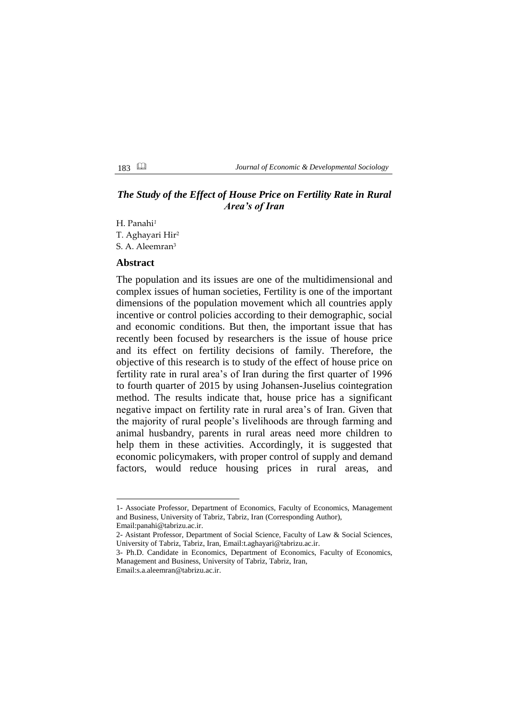# *The Study of the Effect of House Price on Fertility Rate in Rural Area's of Iran*

H. Panahi*<sup>1</sup>* T. Aghayari Hir<sup>2</sup> S. A. Aleemran<sup>3</sup>

### **Abstract**

The population and its issues are one of the multidimensional and complex issues of human societies, Fertility is one of the important dimensions of the population movement which all countries apply incentive or control policies according to their demographic, social and economic conditions. But then, the important issue that has recently been focused by researchers is the issue of house price and its effect on fertility decisions of family. Therefore, the objective of this research is to study of the effect of house price on fertility rate in rural area's of Iran during the first quarter of 1996 to fourth quarter of 2015 by using Johansen-Juselius cointegration method. The results indicate that, house price has a significant negative impact on fertility rate in rural area's of Iran. Given that the majority of rural people's livelihoods are through farming and animal husbandry, parents in rural areas need more children to help them in these activities. Accordingly, it is suggested that economic policymakers, with proper control of supply and demand factors, would reduce housing prices in rural areas, and

1

<sup>1-</sup> Associate Professor, Department of Economics, Faculty of Economics, Management and Business, University of Tabriz, Tabriz, Iran (Corresponding Author),

Email[:panahi@tabrizu.ac.ir.](mailto:panahi@tabrizu.ac.ir)

<sup>2-</sup> Asistant Professor, Department of Social Science, Faculty of Law & Social Sciences, University of Tabriz, Tabriz, Iran, Email[:t.aghayari@tabrizu.ac.ir.](mailto:t.aghayari@tabrizu.ac.ir)

<sup>3-</sup> Ph.D. Candidate in Economics, Department of Economics, Faculty of Economics, Management and Business, University of Tabriz, Tabriz, Iran,

Email[:s.a.aleemran@tabrizu.ac.ir.](mailto:s.a.aleemran@tabrizu.ac.ir)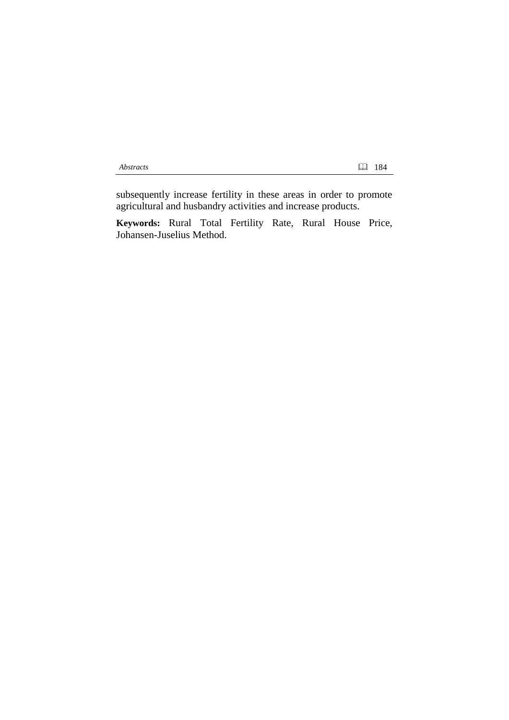subsequently increase fertility in these areas in order to promote agricultural and husbandry activities and increase products.

**Keywords:** Rural Total Fertility Rate, Rural House Price, Johansen-Juselius Method.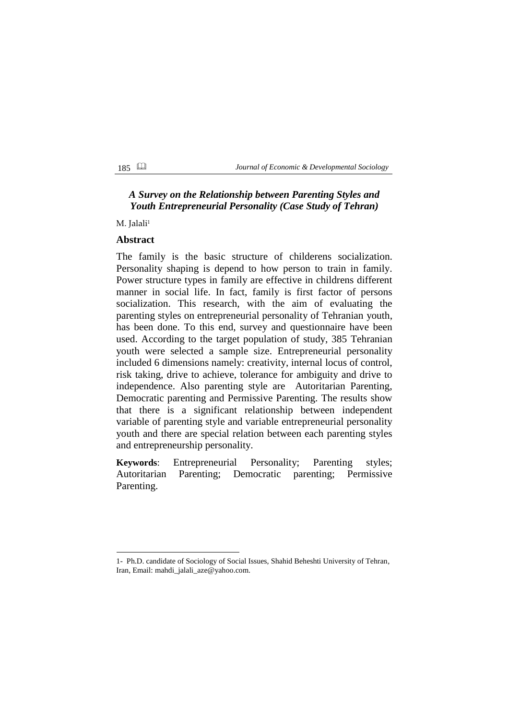# *A Survey on the Relationship between Parenting Styles and Youth Entrepreneurial Personality (Case Study of Tehran)*

M. Jalali<sup>1</sup>

## **Abstract**

1

The family is the basic structure of childerens socialization. Personality shaping is depend to how person to train in family. Power structure types in family are effective in childrens different manner in social life. In fact, family is first factor of persons socialization. This research, with the aim of evaluating the parenting styles on entrepreneurial personality of Tehranian youth, has been done. To this end, survey and questionnaire have been used. According to the target population of study, 385 Tehranian youth were selected a sample size. Entrepreneurial personality included 6 dimensions namely: creativity, internal locus of control, risk taking, drive to achieve, tolerance for ambiguity and drive to independence. Also parenting style are Autoritarian Parenting, Democratic parenting and Permissive Parenting. The results show that there is a significant relationship between independent variable of parenting style and variable entrepreneurial personality youth and there are special relation between each parenting styles and entrepreneurship personality.

**Keywords**: Entrepreneurial Personality; Parenting styles; Autoritarian Parenting; Democratic parenting; Permissive Parenting.

<sup>1-</sup> Ph.D. candidate of Sociology of Social Issues, Shahid Beheshti University of Tehran, Iran, Email: mahdi\_jalali\_aze@yahoo.com.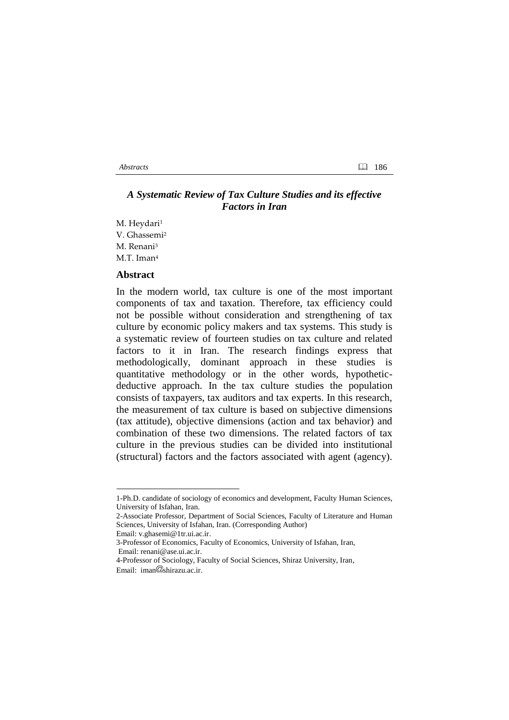# *A Systematic Review of Tax Culture Studies and its effective Factors in Iran*

M. Heydari<sup>1</sup> V. Ghassemi<sup>2</sup> M. Renani<sup>3</sup> M.T. Iman<sup>4</sup>

## **Abstract**

In the modern world, tax culture is one of the most important components of tax and taxation. Therefore, tax efficiency could not be possible without consideration and strengthening of tax culture by economic policy makers and tax systems. This study is a systematic review of fourteen studies on tax culture and related factors to it in Iran. The research findings express that methodologically, dominant approach in these studies is quantitative methodology or in the other words, hypotheticdeductive approach. In the tax culture studies the population consists of taxpayers, tax auditors and tax experts. In this research, the measurement of tax culture is based on subjective dimensions (tax attitude), objective dimensions (action and tax behavior) and combination of these two dimensions. The related factors of tax culture in the previous studies can be divided into institutional (structural) factors and the factors associated with agent (agency).

1

*Abstracts* 186

<sup>1-</sup>Ph.D. candidate of sociology of economics and development, Faculty Human Sciences, University of Isfahan, Iran.

<sup>2-</sup>Associate Professor, Department of Social Sciences, Faculty of Literature and Human Sciences, University of Isfahan, Iran. (Corresponding Author)

Email: v.ghasemi@1tr.ui.ac.ir.

<sup>3-</sup>Professor of Economics, Faculty of Economics, University of Isfahan, Iran, Email: renani@ase.ui.ac.ir.

<sup>4-</sup>Professor of Sociology, Faculty of Social Sciences, Shiraz University, Iran, Email:  $iman@shirazu.ac.in$ .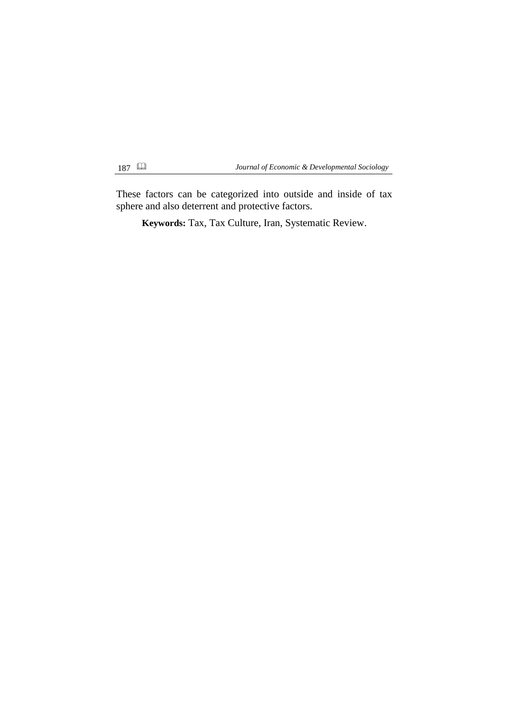These factors can be categorized into outside and inside of tax sphere and also deterrent and protective factors.

**Keywords:** Tax, Tax Culture, Iran, Systematic Review.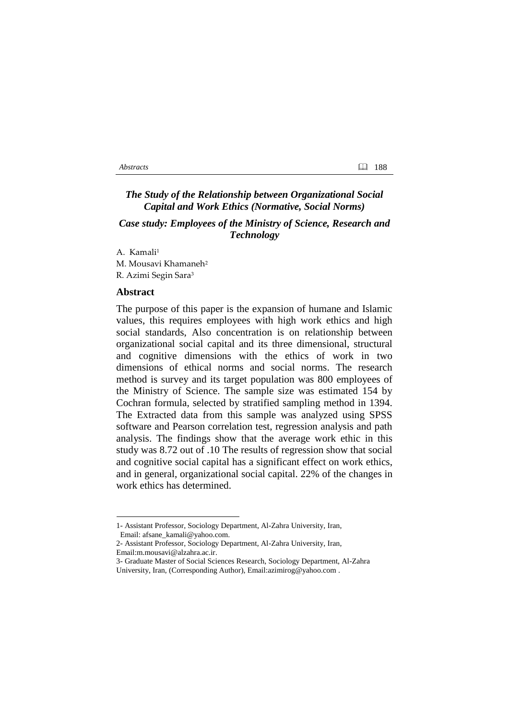# *The Study of the Relationship between Organizational Social Capital and Work Ethics (Normative, Social Norms)*

# *Case study: Employees of the Ministry of Science, Research and Technology*

A. Kamali<sup>1</sup> M. Mousavi Khamaneh<sup>2</sup> R. Azimi Segin Sara<sup>3</sup>

### **Abstract**

The purpose of this paper is the expansion of humane and Islamic values, this requires employees with high work ethics and high social standards, Also concentration is on relationship between organizational social capital and its three dimensional, structural and cognitive dimensions with the ethics of work in two dimensions of ethical norms and social norms. The research method is survey and its target population was 800 employees of the Ministry of Science. The sample size was estimated 154 by Cochran formula, selected by stratified sampling method in 1394. The Extracted data from this sample was analyzed using SPSS software and Pearson correlation test, regression analysis and path analysis. The findings show that the average work ethic in this study was 8.72 out of .10 The results of regression show that social and cognitive social capital has a significant effect on work ethics, and in general, organizational social capital. 22% of the changes in work ethics has determined.

[Email:m.mousavi@alzahra.ac.ir.](mailto:m.mousavi@alzahra.ac.ir)

1

<sup>1-</sup> Assistant Professor, Sociology Department, Al-Zahra University, Iran, Email: afsane\_kamali@yahoo.com.

<sup>2-</sup> Assistant Professor, Sociology Department, Al-Zahra University, Iran,

<sup>3-</sup> Graduate Master of Social Sciences Research, Sociology Department, Al-Zahra University, Iran, (Corresponding Author), Email:azimirog@yahoo.com .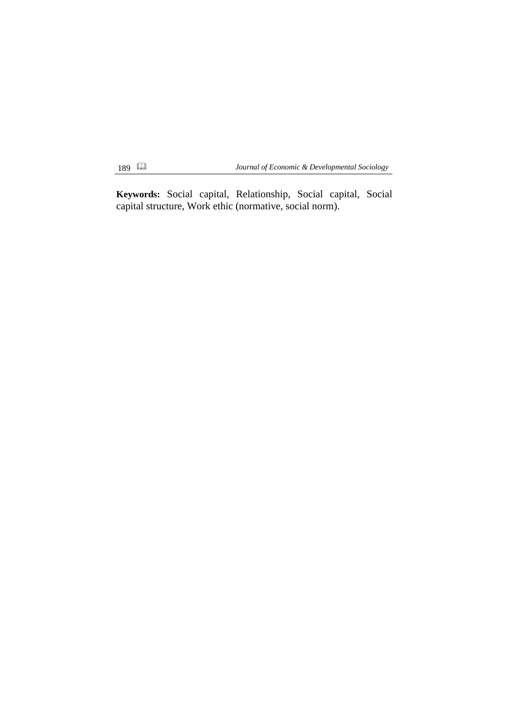**Keywords:** Social capital, Relationship, Social capital, Social capital structure, Work ethic (normative, social norm).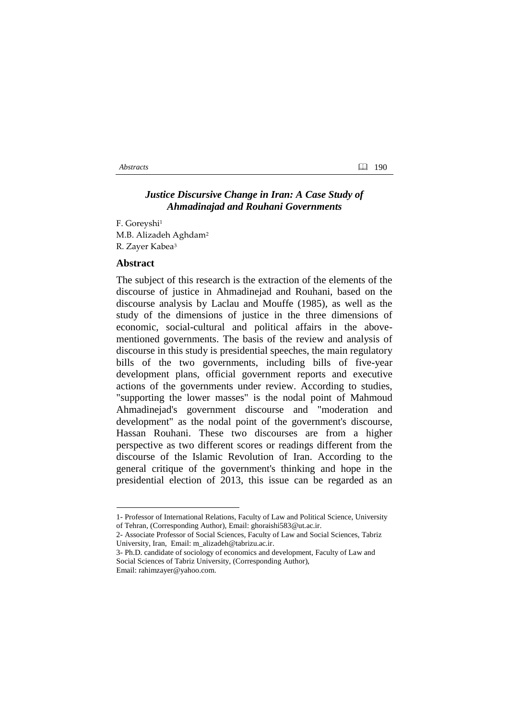## *Justice Discursive Change in Iran: A Case Study of Ahmadinajad and Rouhani Governments*

F. Goreyshi<sup>1</sup> M.B. Alizadeh Aghdam<sup>2</sup> R. Zayer Kabea<sup>3</sup>

### **Abstract**

1

The subject of this research is the extraction of the elements of the discourse of justice in Ahmadinejad and Rouhani, based on the discourse analysis by Laclau and Mouffe (1985), as well as the study of the dimensions of justice in the three dimensions of economic, social-cultural and political affairs in the abovementioned governments. The basis of the review and analysis of discourse in this study is presidential speeches, the main regulatory bills of the two governments, including bills of five-year development plans, official government reports and executive actions of the governments under review. According to studies, "supporting the lower masses" is the nodal point of Mahmoud Ahmadinejad's government discourse and "moderation and development" as the nodal point of the government's discourse, Hassan Rouhani. These two discourses are from a higher perspective as two different scores or readings different from the discourse of the Islamic Revolution of Iran. According to the general critique of the government's thinking and hope in the presidential election of 2013, this issue can be regarded as an

<sup>1-</sup> Professor of International Relations, Faculty of Law and Political Science, University of Tehran, (Corresponding Author), Email: ghoraishi583@ut.ac.ir.

<sup>2-</sup> Associate Professor of Social Sciences, Faculty of Law and Social Sciences, Tabriz University, Iran, Email: m\_alizadeh@tabrizu.ac.ir.

<sup>3-</sup> Ph.D. candidate of sociology of economics and development, Faculty of Law and Social Sciences of Tabriz University, (Corresponding Author), Email: rahimzayer@yahoo.com.